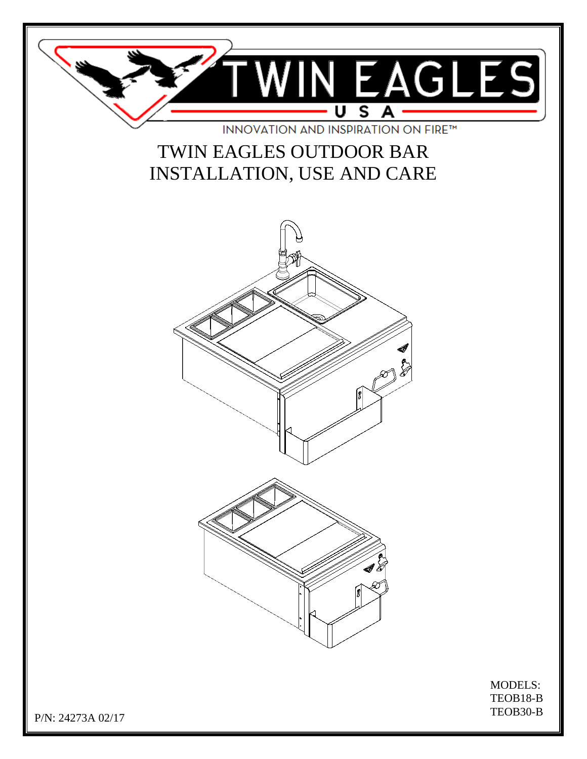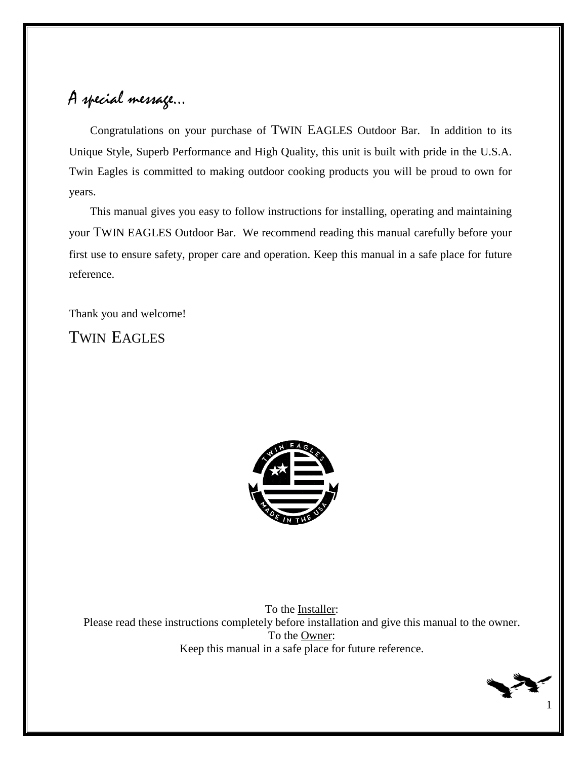### A special message…

Congratulations on your purchase of TWIN EAGLES Outdoor Bar. In addition to its Unique Style, Superb Performance and High Quality, this unit is built with pride in the U.S.A. Twin Eagles is committed to making outdoor cooking products you will be proud to own for years.

This manual gives you easy to follow instructions for installing, operating and maintaining your TWIN EAGLES Outdoor Bar. We recommend reading this manual carefully before your first use to ensure safety, proper care and operation. Keep this manual in a safe place for future reference.

Thank you and welcome!

TWIN EAGLES



To the Installer: Please read these instructions completely before installation and give this manual to the owner. To the Owner: Keep this manual in a safe place for future reference.

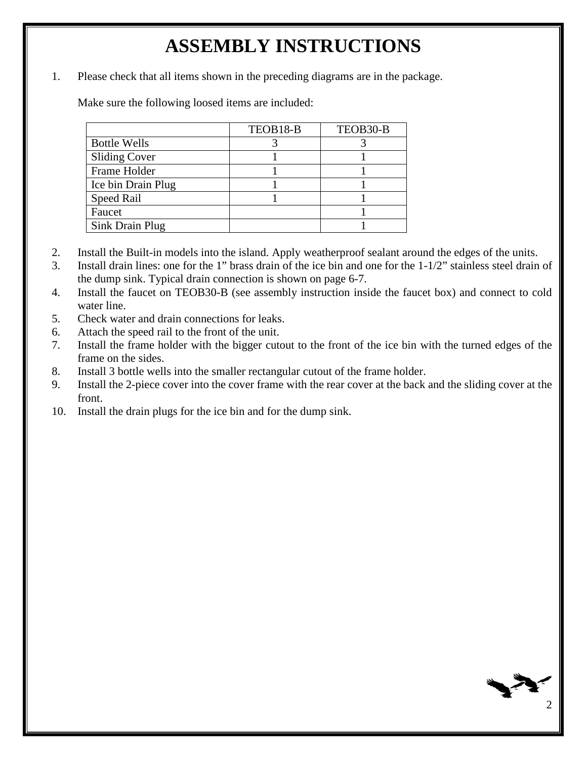# **ASSEMBLY INSTRUCTIONS**

1. Please check that all items shown in the preceding diagrams are in the package.

Make sure the following loosed items are included:

|                      | TEOB18-B | TEOB30-B |
|----------------------|----------|----------|
| <b>Bottle Wells</b>  |          |          |
| <b>Sliding Cover</b> |          |          |
| Frame Holder         |          |          |
| Ice bin Drain Plug   |          |          |
| Speed Rail           |          |          |
| Faucet               |          |          |
| Sink Drain Plug      |          |          |

- 2. Install the Built-in models into the island. Apply weatherproof sealant around the edges of the units.
- 3. Install drain lines: one for the 1" brass drain of the ice bin and one for the 1-1/2" stainless steel drain of the dump sink. Typical drain connection is shown on page 6-7.
- 4. Install the faucet on TEOB30-B (see assembly instruction inside the faucet box) and connect to cold water line.
- 5. Check water and drain connections for leaks.
- 6. Attach the speed rail to the front of the unit.
- 7. Install the frame holder with the bigger cutout to the front of the ice bin with the turned edges of the frame on the sides.
- 8. Install 3 bottle wells into the smaller rectangular cutout of the frame holder.
- 9. Install the 2-piece cover into the cover frame with the rear cover at the back and the sliding cover at the front.
- 10. Install the drain plugs for the ice bin and for the dump sink.

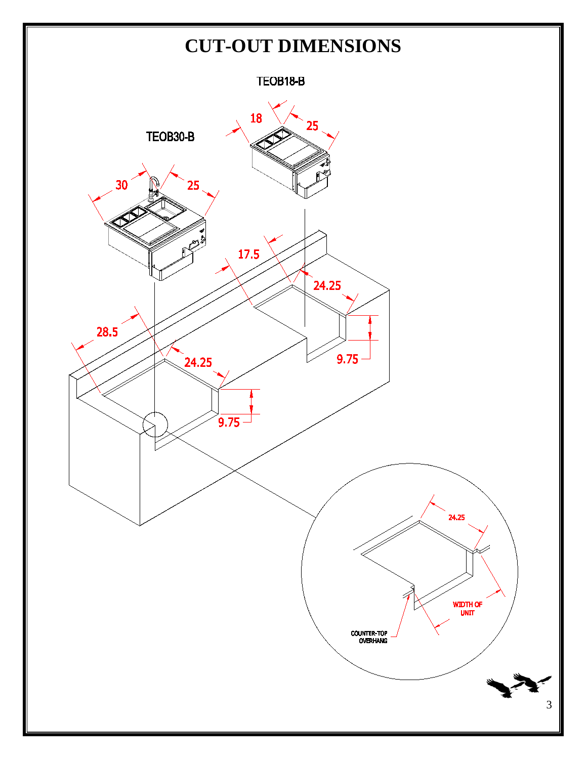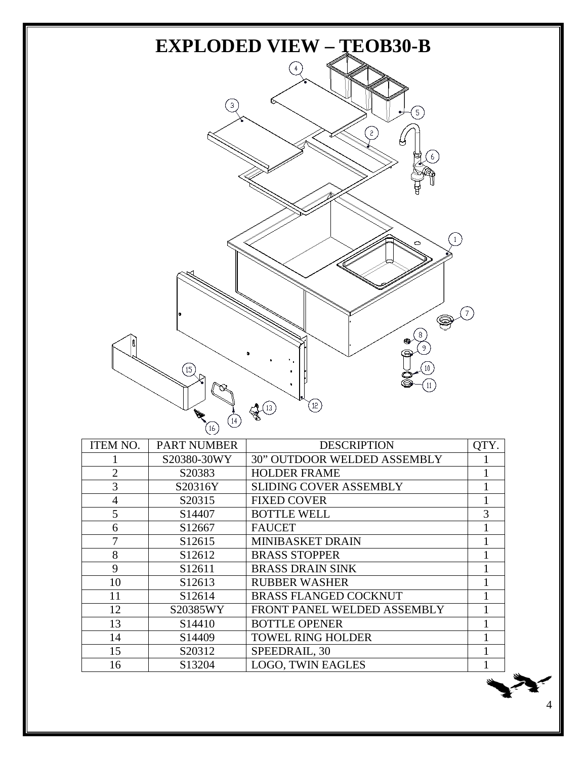

| <b>ITEM NO.</b> | <b>PART NUMBER</b> | <b>DESCRIPTION</b>                 | OTY. |
|-----------------|--------------------|------------------------------------|------|
|                 | S20380-30WY        | <b>30" OUTDOOR WELDED ASSEMBLY</b> |      |
| $\overline{2}$  | S20383             | <b>HOLDER FRAME</b>                |      |
| 3               | S20316Y            | <b>SLIDING COVER ASSEMBLY</b>      |      |
| $\overline{4}$  | S20315             | <b>FIXED COVER</b>                 |      |
| 5               | S <sub>14407</sub> | <b>BOTTLE WELL</b>                 | 3    |
| 6               | S <sub>12667</sub> | <b>FAUCET</b>                      |      |
| 7               | S12615             | MINIBASKET DRAIN                   |      |
| 8               | S <sub>12612</sub> | <b>BRASS STOPPER</b>               |      |
| 9               | S12611             | <b>BRASS DRAIN SINK</b>            |      |
| 10              | S12613             | <b>RUBBER WASHER</b>               |      |
| 11              | S <sub>12614</sub> | <b>BRASS FLANGED COCKNUT</b>       |      |
| 12              | S20385WY           | FRONT PANEL WELDED ASSEMBLY        |      |
| 13              | S14410             | <b>BOTTLE OPENER</b>               |      |
| 14              | S <sub>14409</sub> | <b>TOWEL RING HOLDER</b>           |      |
| 15              | S20312             | SPEEDRAIL, 30                      |      |
| 16              | S13204             | <b>LOGO, TWIN EAGLES</b>           |      |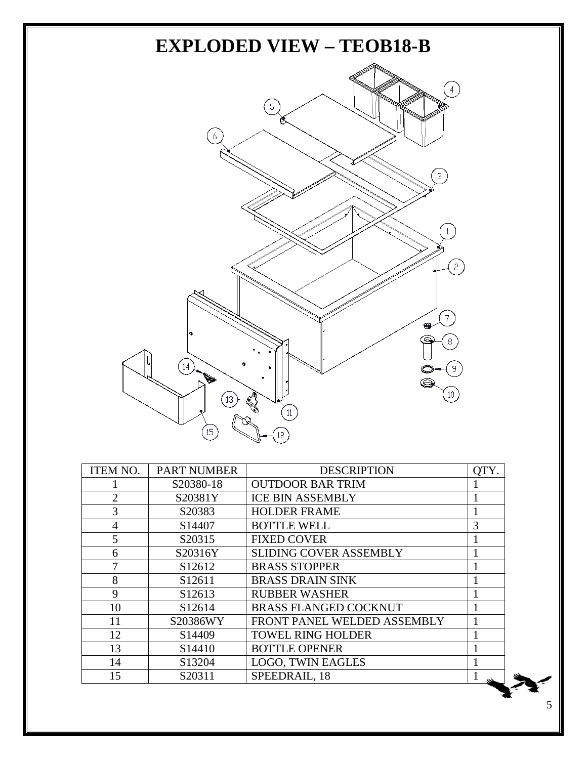

| <b>ITEM NO.</b> | <b>PART NUMBER</b>             | <b>DESCRIPTION</b>            | OTY. |
|-----------------|--------------------------------|-------------------------------|------|
|                 | S20380-18                      | <b>OUTDOOR BAR TRIM</b>       |      |
| $\overline{2}$  | S20381Y                        | <b>ICE BIN ASSEMBLY</b>       |      |
| 3               | S20383                         | <b>HOLDER FRAME</b>           |      |
| $\overline{4}$  | S <sub>14407</sub>             | <b>BOTTLE WELL</b>            | 3    |
| 5               | S20315                         | <b>FIXED COVER</b>            |      |
| 6               | S20316Y                        | <b>SLIDING COVER ASSEMBLY</b> |      |
| 7               | S <sub>12612</sub>             | <b>BRASS STOPPER</b>          |      |
| 8               | S <sub>12611</sub>             | <b>BRASS DRAIN SINK</b>       |      |
| 9               | S <sub>12613</sub>             | <b>RUBBER WASHER</b>          |      |
| 10              | S <sub>12614</sub>             | <b>BRASS FLANGED COCKNUT</b>  |      |
| 11              | S20386WY                       | FRONT PANEL WELDED ASSEMBLY   |      |
| 12              | S <sub>14409</sub>             | <b>TOWEL RING HOLDER</b>      |      |
| 13              | S <sub>144</sub> <sub>10</sub> | <b>BOTTLE OPENER</b>          |      |
| 14              | S13204                         | <b>LOGO, TWIN EAGLES</b>      |      |
| 15              | S20311                         | SPEEDRAIL, 18                 | ىد   |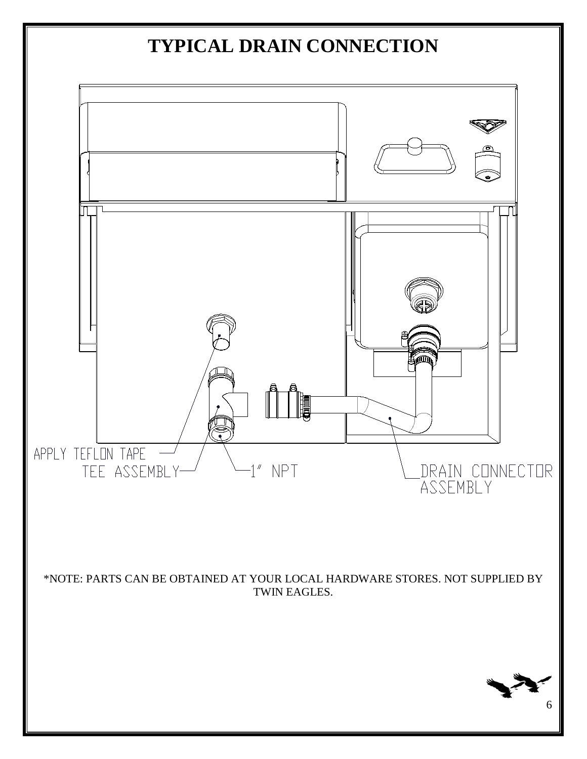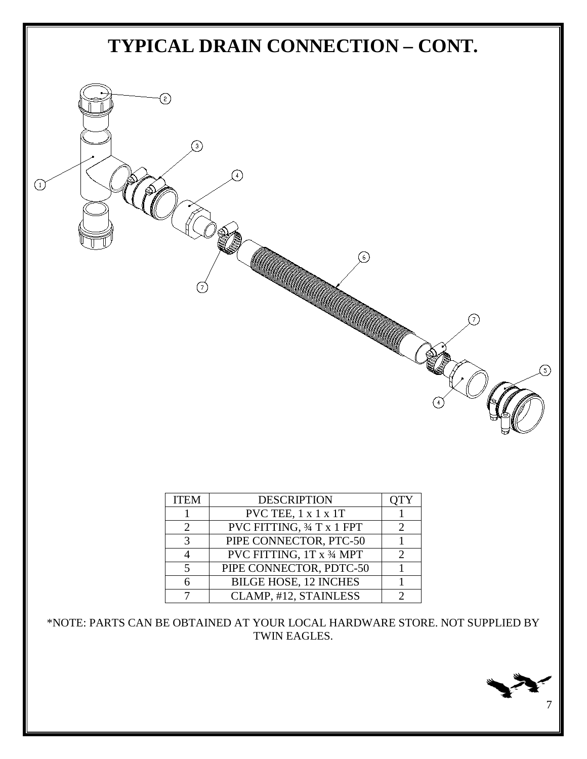

| <b>ITEM</b> | <b>DESCRIPTION</b>           |  |
|-------------|------------------------------|--|
|             | PVC TEE, 1 x 1 x 1T          |  |
|             | PVC FITTING, 3/4 T x 1 FPT   |  |
| 3           | PIPE CONNECTOR, PTC-50       |  |
|             | PVC FITTING, 1T x 3/4 MPT    |  |
|             | PIPE CONNECTOR, PDTC-50      |  |
|             | <b>BILGE HOSE, 12 INCHES</b> |  |
|             | CLAMP, #12, STAINLESS        |  |

\*NOTE: PARTS CAN BE OBTAINED AT YOUR LOCAL HARDWARE STORE. NOT SUPPLIED BY TWIN EAGLES.

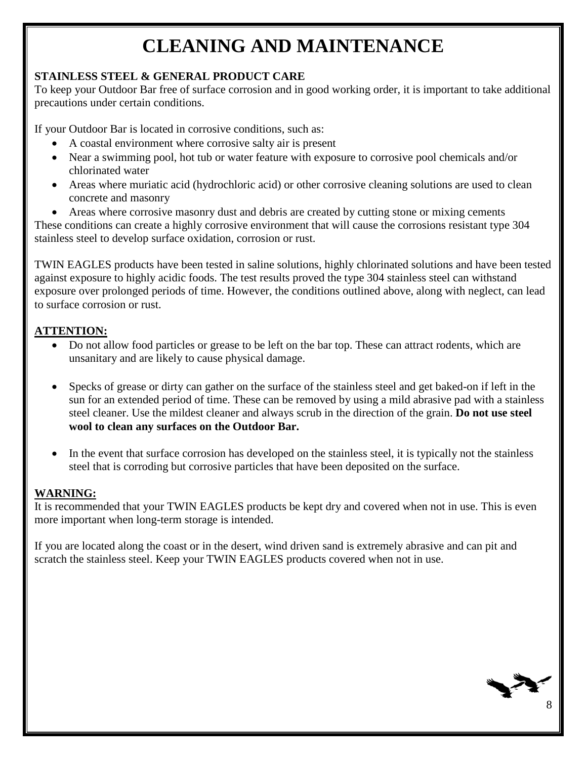# **CLEANING AND MAINTENANCE**

#### **STAINLESS STEEL & GENERAL PRODUCT CARE**

To keep your Outdoor Bar free of surface corrosion and in good working order, it is important to take additional precautions under certain conditions.

If your Outdoor Bar is located in corrosive conditions, such as:

- A coastal environment where corrosive salty air is present
- Near a swimming pool, hot tub or water feature with exposure to corrosive pool chemicals and/or chlorinated water
- Areas where muriatic acid (hydrochloric acid) or other corrosive cleaning solutions are used to clean concrete and masonry
- Areas where corrosive masonry dust and debris are created by cutting stone or mixing cements

These conditions can create a highly corrosive environment that will cause the corrosions resistant type 304 stainless steel to develop surface oxidation, corrosion or rust.

TWIN EAGLES products have been tested in saline solutions, highly chlorinated solutions and have been tested against exposure to highly acidic foods. The test results proved the type 304 stainless steel can withstand exposure over prolonged periods of time. However, the conditions outlined above, along with neglect, can lead to surface corrosion or rust.

#### **ATTENTION:**

- Do not allow food particles or grease to be left on the bar top. These can attract rodents, which are unsanitary and are likely to cause physical damage.
- Specks of grease or dirty can gather on the surface of the stainless steel and get baked-on if left in the sun for an extended period of time. These can be removed by using a mild abrasive pad with a stainless steel cleaner. Use the mildest cleaner and always scrub in the direction of the grain. **Do not use steel wool to clean any surfaces on the Outdoor Bar.**
- In the event that surface corrosion has developed on the stainless steel, it is typically not the stainless steel that is corroding but corrosive particles that have been deposited on the surface.

#### **WARNING:**

It is recommended that your TWIN EAGLES products be kept dry and covered when not in use. This is even more important when long-term storage is intended.

If you are located along the coast or in the desert, wind driven sand is extremely abrasive and can pit and scratch the stainless steel. Keep your TWIN EAGLES products covered when not in use.

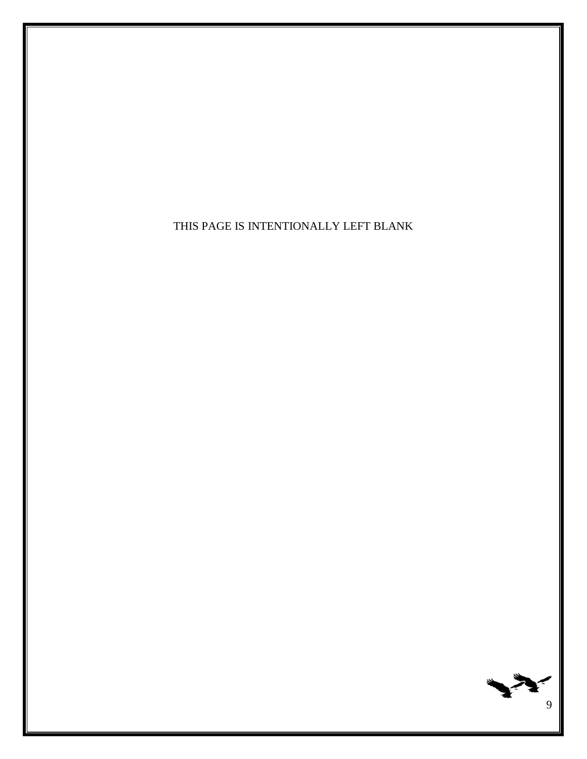THIS PAGE IS INTENTIONALLY LEFT BLANK

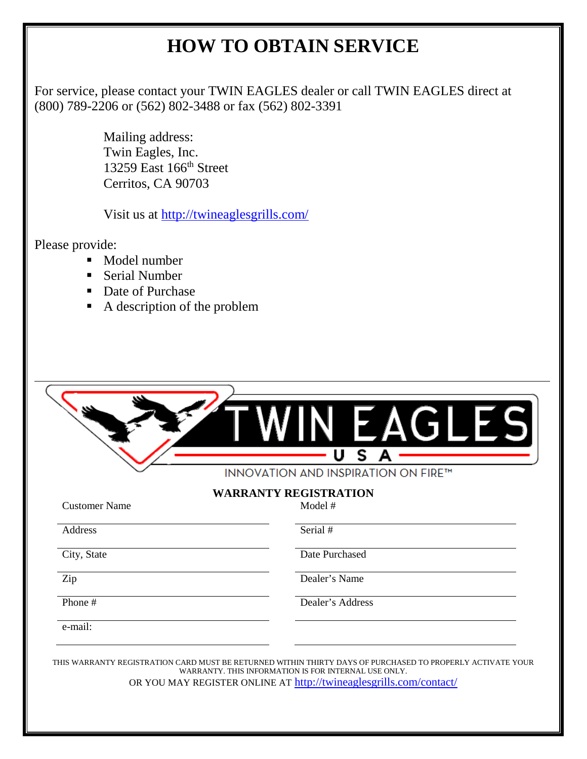## **HOW TO OBTAIN SERVICE**

For service, please contact your TWIN EAGLES dealer or call TWIN EAGLES direct at (800) 789-2206 or (562) 802-3488 or fax (562) 802-3391

> Mailing address: Twin Eagles, Inc. 13259 East 166<sup>th</sup> Street Cerritos, CA 90703

Visit us at<http://twineaglesgrills.com/>

Please provide:

- Model number
- Serial Number
- Date of Purchase
- A description of the problem

|                              | <b>INNOVATION AND INSPIRATION ON FIRE™</b> |  |
|------------------------------|--------------------------------------------|--|
| <b>WARRANTY REGISTRATION</b> |                                            |  |
| <b>Customer Name</b>         | Model #                                    |  |
| Address                      | Serial #                                   |  |
| City, State                  | Date Purchased                             |  |
| Zip                          | Dealer's Name                              |  |
| Phone #                      | Dealer's Address                           |  |
| e-mail:                      |                                            |  |